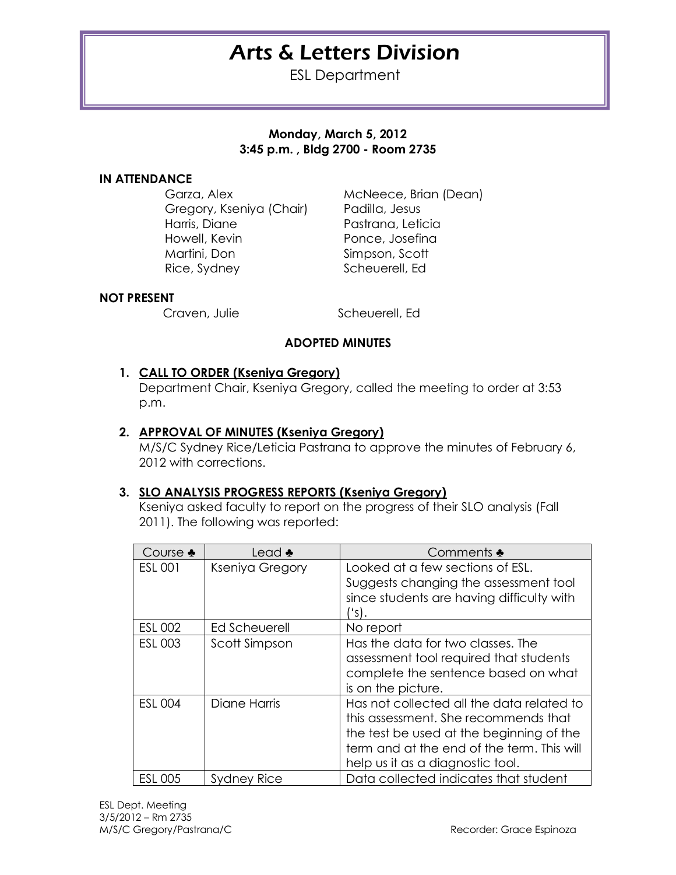# Arts & Letters Division

ESL Department

## **Monday, March 5, 2012 3:45 p.m. , Bldg 2700 - Room 2735**

#### **IN ATTENDANCE**

Garza, Alex McNeece, Brian (Dean) Gregory, Kseniya (Chair) Padilla, Jesus Harris, Diane Pastrana, Leticia Howell, Kevin **Ponce**, Josefina Martini, Don Simpson, Scott Rice, Sydney Scheuerell, Ed

#### **NOT PRESENT**

Craven, Julie Scheuerell, Ed

# **ADOPTED MINUTES**

## **1. CALL TO ORDER (Kseniya Gregory)**

Department Chair, Kseniya Gregory, called the meeting to order at 3:53 p.m.

#### **2. APPROVAL OF MINUTES (Kseniya Gregory)**

M/S/C Sydney Rice/Leticia Pastrana to approve the minutes of February 6, 2012 with corrections.

#### **3. SLO ANALYSIS PROGRESS REPORTS (Kseniya Gregory)**

Kseniya asked faculty to report on the progress of their SLO analysis (Fall 2011). The following was reported:

| Course $\clubsuit$ | Lead $\clubsuit$ | Comments $\clubsuit$                                                                                                                                                                                            |
|--------------------|------------------|-----------------------------------------------------------------------------------------------------------------------------------------------------------------------------------------------------------------|
| <b>ESL 001</b>     | Kseniya Gregory  | Looked at a few sections of ESL.<br>Suggests changing the assessment tool<br>since students are having difficulty with<br>''s).                                                                                 |
| <b>ESL 002</b>     | Ed Scheuerell    | No report                                                                                                                                                                                                       |
| <b>ESL 003</b>     | Scott Simpson    | Has the data for two classes. The<br>assessment tool required that students<br>complete the sentence based on what<br>is on the picture.                                                                        |
| <b>ESL 004</b>     | Diane Harris     | Has not collected all the data related to<br>this assessment. She recommends that<br>the test be used at the beginning of the<br>term and at the end of the term. This will<br>help us it as a diagnostic tool. |
| <b>ESL 005</b>     | Sydney Rice      | Data collected indicates that student                                                                                                                                                                           |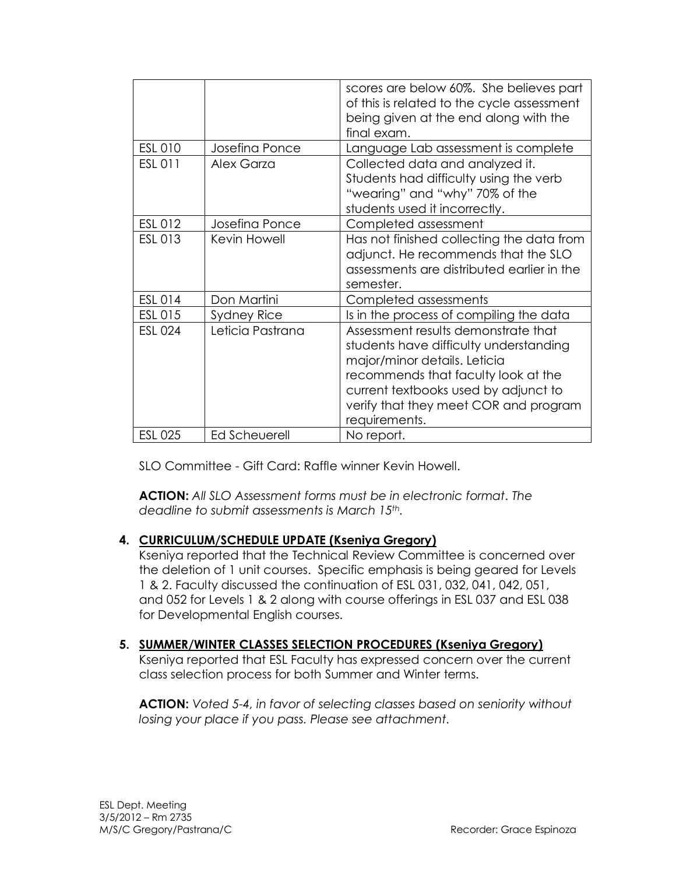|                |                    | scores are below 60%. She believes part<br>of this is related to the cycle assessment<br>being given at the end along with the<br>final exam.                                                                                                          |
|----------------|--------------------|--------------------------------------------------------------------------------------------------------------------------------------------------------------------------------------------------------------------------------------------------------|
| <b>ESL 010</b> | Josefina Ponce     | Language Lab assessment is complete                                                                                                                                                                                                                    |
| <b>ESL 011</b> | Alex Garza         | Collected data and analyzed it.<br>Students had difficulty using the verb<br>"wearing" and "why" 70% of the<br>students used it incorrectly.                                                                                                           |
| ESL 012        | Josefina Ponce     | Completed assessment                                                                                                                                                                                                                                   |
| ESL 013        | Kevin Howell       | Has not finished collecting the data from<br>adjunct. He recommends that the SLO<br>assessments are distributed earlier in the<br>semester.                                                                                                            |
| ESL 014        | Don Martini        | Completed assessments                                                                                                                                                                                                                                  |
| ESL 015        | <b>Sydney Rice</b> | Is in the process of compiling the data                                                                                                                                                                                                                |
| <b>ESL 024</b> | Leticia Pastrana   | Assessment results demonstrate that<br>students have difficulty understanding<br>major/minor details. Leticia<br>recommends that faculty look at the<br>current textbooks used by adjunct to<br>verify that they meet COR and program<br>requirements. |
| <b>ESL 025</b> | Ed Scheuerell      | No report.                                                                                                                                                                                                                                             |

SLO Committee - Gift Card: Raffle winner Kevin Howell.

**ACTION:** *All SLO Assessment forms must be in electronic format. The deadline to submit assessments is March 15th.* 

## **4. CURRICULUM/SCHEDULE UPDATE (Kseniya Gregory)**

Kseniya reported that the Technical Review Committee is concerned over the deletion of 1 unit courses. Specific emphasis is being geared for Levels 1 & 2. Faculty discussed the continuation of ESL 031, 032, 041, 042, 051, and 052 for Levels 1 & 2 along with course offerings in ESL 037 and ESL 038 for Developmental English courses.

## **5. SUMMER/WINTER CLASSES SELECTION PROCEDURES (Kseniya Gregory)**

Kseniya reported that ESL Faculty has expressed concern over the current class selection process for both Summer and Winter terms.

**ACTION:** *Voted 5-4, in favor of selecting classes based on seniority without losing your place if you pass. Please see attachment.*